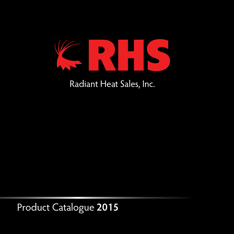

### Radiant Heat Sales, Inc.

Product Catalogue **2015**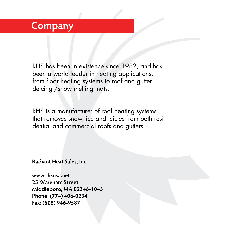#### **Company**

RHS has been in existence since 1982, and has been a world leader in heating applications, from floor heating systems to roof and gutter deicing /snow melting mats.

RHS is a manufacturer of roof heating systems that removes snow, ice and icicles from both residential and commercial roofs and gutters.

**Radiant Heat Sales, Inc.**

**www.rhsusa.net 25 Wareham Street Middleboro, MA 02346-1045 Phone: (774) 406-0234 Fax: (508) 946-9587**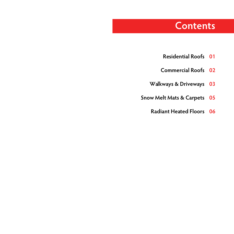### **Contents**

- **Residential Roofs 01**
- **Commercial Roofs 02**
- **Walkways & Driveways 03**
- **Snow Melt Mats & Carpets 05**
	- **Radiant Heated Floors 06**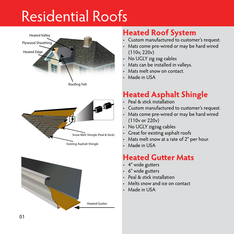## **Residential Roofs**







#### **Heated Roof System**

- Custom manufactured to customer's request.
- Mats come pre-wired or may be hard wired  $(110v, 220v)$
- No UGLY zig zag cables
- Mats can be installed in valleys.
- Mats melt snow on contact.
- Made in USA

#### **Heated Asphalt Shingle**

- Peal & stick installation
- Custom manufactured to customer's request.  $\bullet$
- Mats come pre-wired or may be hard wired . (110v or 220v)
- No UGLY zigzag cables  $\bullet$
- Great for existing asphalt roofs
- Mats melt snow at a rate of 2" per hour.
- Made in USA

#### **Heated Gutter Mats**

- 4" wide gutters
- 6" wide gutters
- Peal & stick installation
- Melts snow and ice on contact
- Made in USA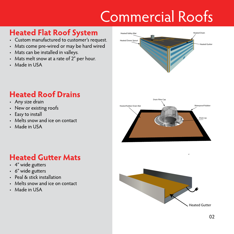# **Commercial Roofs**

#### **Heated Flat Roof System**

- Custom manufactured to customer's request.
- Mats come pre-wired or may be hard wired
- Mats can be installed in valleys.
- Mats melt snow at a rate of 2" per hour.
- Made in USA



### **Heated Roof Drains**

- Any size drain
- New or existing roofs
- Easy to install
- Melts snow and ice on contact
- Made in USA

### **Heated Gutter Mats**

- 4" wide gutters
- 6" wide gutters
- Peal & stick installation
- Melts snow and ice on contact
- Made in USA

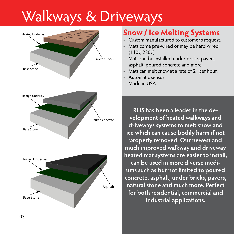## **Walkways & Driveways**

![](_page_5_Figure_1.jpeg)

#### **Snow / Ice Melting Systems**

- Custom manufactured to customer's request.
- Mats come pre-wired or may be hard wired  $(110v, 220v)$
- Mats can be installed under bricks, pavers, asphalt, poured concrete and more.
- Mats can melt snow at a rate of 2" per hour.
- Automatic sensor
- Made in USA

RHS has been a leader in the development of heated walkways and driveways systems to melt snow and ice which can cause bodily harm if not properly removed. Our newest and much improved walkway and driveway heated mat systems are easier to install,

can be used in more diverse mediums such as but not limited to poured concrete, asphalt, under bricks, pavers, natural stone and much more. Perfect for both residential, commercial and industrial applications.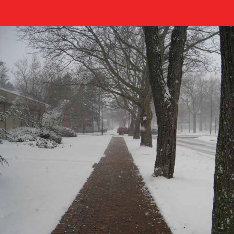![](_page_6_Picture_0.jpeg)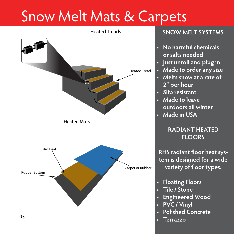## **Snow Melt Mats & Carpets**

![](_page_7_Figure_1.jpeg)

#### **SNOW MELT SYSTEMS**

- No harmful chemicals or salts needed
- Just unroll and plug in
- Made to order any size
- Melts snow at a rate of 2" per hour
- Slip resistant
- Made to leave outdoors all winter
- Made in USA

#### **RADIANT HEATED FLOORS**

RHS radiant floor heat system is designed for a wide variety of floor types.

- **Floating Floors**
- Tile / Stone
- **Engineered Wood**
- PVC / Vinyl  $\bullet$
- **Polished Concrete**
- **Terrazzo**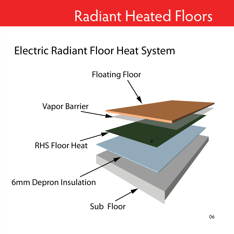### **Radiant Heated Floors**

### Electric Radiant Floor Heat System

![](_page_8_Figure_2.jpeg)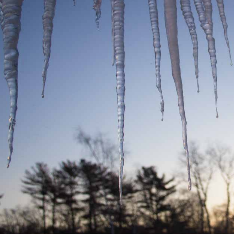![](_page_9_Picture_0.jpeg)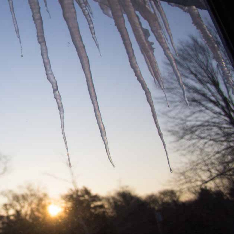![](_page_10_Picture_0.jpeg)